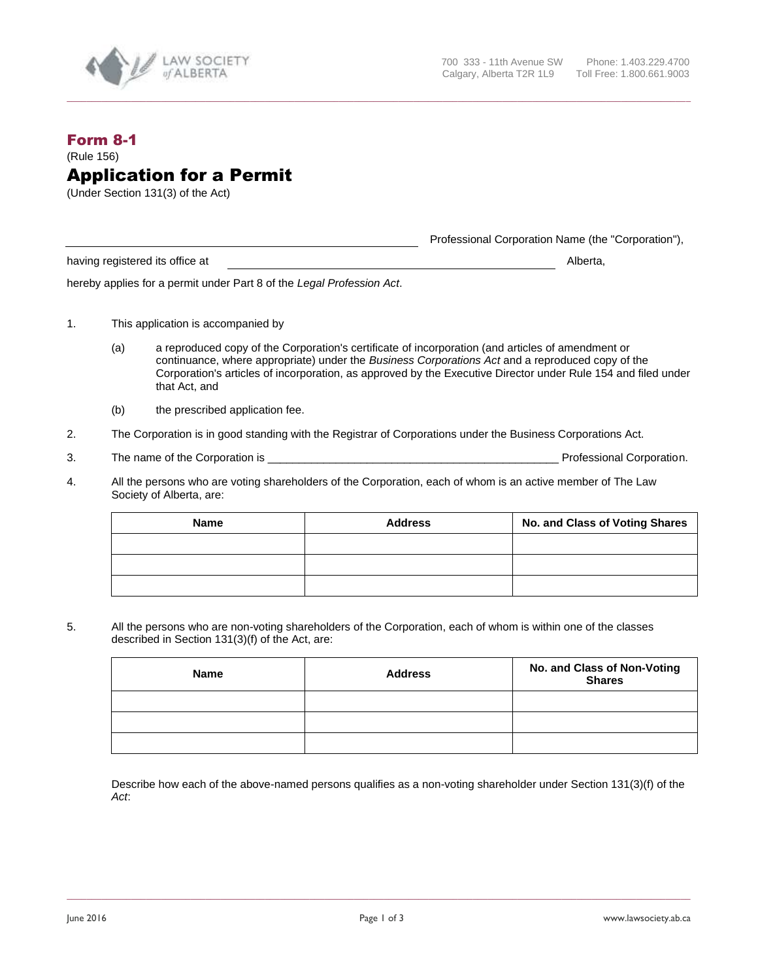

## Form 8-1 (Rule 156) Application for a Permit

(Under Section 131(3) of the Act)

Professional Corporation Name (the "Corporation"),

having registered its office at Alberta, and Alberta, and Alberta, and Alberta, and Alberta, and Alberta, and Alberta, and Alberta, and Alberta, and Alberta, and Alberta, and Alberta, and Alberta, and Alberta, and Alberta,

hereby applies for a permit under Part 8 of the *Legal Profession Act*.

- 1. This application is accompanied by
	- (a) a reproduced copy of the Corporation's certificate of incorporation (and articles of amendment or continuance, where appropriate) under the *Business Corporations Act* and a reproduced copy of the Corporation's articles of incorporation, as approved by the Executive Director under Rule 154 and filed under that Act, and
	- (b) the prescribed application fee.
- 2. The Corporation is in good standing with the Registrar of Corporations under the Business Corporations Act.
- 3. The name of the Corporation is \_\_\_\_\_\_\_\_\_\_\_\_\_\_\_\_\_\_\_\_\_\_\_\_\_\_\_\_\_\_\_\_\_\_\_\_\_\_\_\_\_\_\_\_\_\_\_ Professional Corporation.

**\_\_\_\_\_\_\_\_\_\_\_\_\_\_\_\_\_\_\_\_\_\_\_\_\_\_\_\_\_\_\_\_\_\_\_\_\_\_\_\_\_\_\_\_\_\_\_\_\_\_\_\_\_\_\_\_\_\_\_\_\_\_\_\_\_\_\_\_\_\_\_\_\_\_\_\_\_\_\_\_\_\_\_\_\_\_\_\_\_\_\_\_\_\_\_\_\_\_\_\_\_\_\_\_\_\_\_\_\_\_\_\_\_\_\_\_\_\_\_\_\_\_\_\_\_\_**

4. All the persons who are voting shareholders of the Corporation, each of whom is an active member of The Law Society of Alberta, are:

| <b>Name</b> | <b>Address</b> | No. and Class of Voting Shares |
|-------------|----------------|--------------------------------|
|             |                |                                |
|             |                |                                |
|             |                |                                |

5. All the persons who are non-voting shareholders of the Corporation, each of whom is within one of the classes described in Section 131(3)(f) of the Act, are:

| Name | <b>Address</b> | No. and Class of Non-Voting<br><b>Shares</b> |
|------|----------------|----------------------------------------------|
|      |                |                                              |
|      |                |                                              |
|      |                |                                              |

Describe how each of the above-named persons qualifies as a non-voting shareholder under Section 131(3)(f) of the *Act*: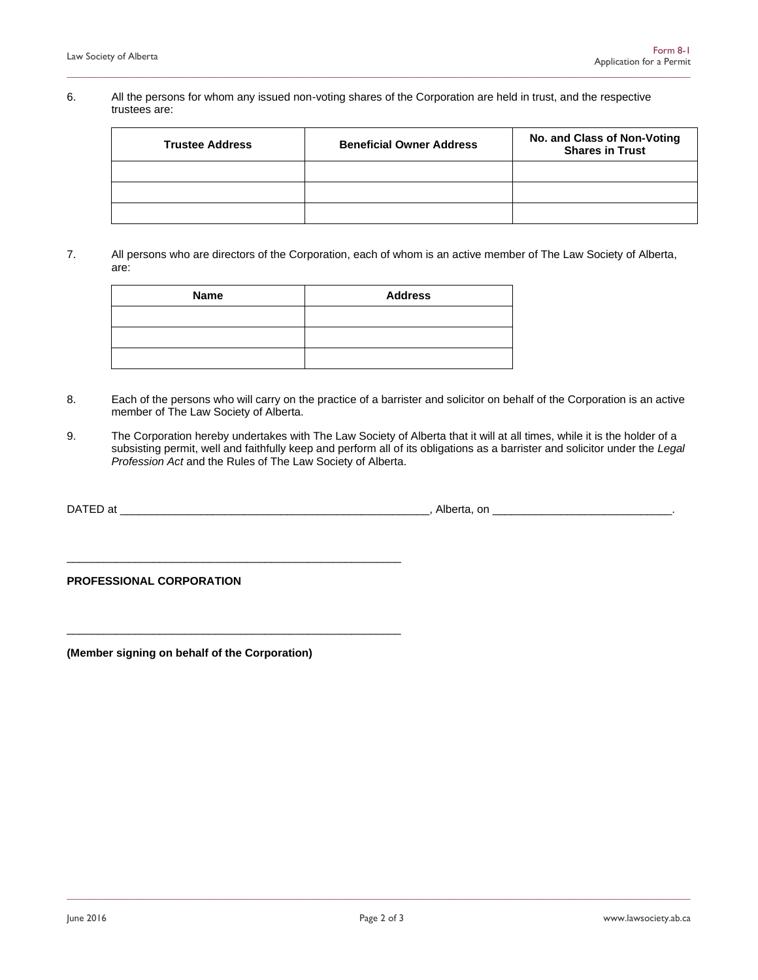## 6. All the persons for whom any issued non-voting shares of the Corporation are held in trust, and the respective trustees are:

**\_\_\_\_\_\_\_\_\_\_\_\_\_\_\_\_\_\_\_\_\_\_\_\_\_\_\_\_\_\_\_\_\_\_\_\_\_\_\_\_\_\_\_\_\_\_\_\_\_\_\_\_\_\_\_\_\_\_\_\_\_\_\_\_\_\_\_\_\_\_\_\_\_\_\_\_\_\_\_\_\_\_\_\_\_\_\_\_\_\_\_\_\_\_\_\_\_\_\_\_\_\_\_\_\_\_\_\_\_\_\_\_\_\_\_\_\_\_\_\_\_\_\_\_\_\_**

| <b>Trustee Address</b> | <b>Beneficial Owner Address</b> | No. and Class of Non-Voting<br><b>Shares in Trust</b> |
|------------------------|---------------------------------|-------------------------------------------------------|
|                        |                                 |                                                       |
|                        |                                 |                                                       |
|                        |                                 |                                                       |

7. All persons who are directors of the Corporation, each of whom is an active member of The Law Society of Alberta, are:

| Name | <b>Address</b> |
|------|----------------|
|      |                |
|      |                |
|      |                |

- 8. Each of the persons who will carry on the practice of a barrister and solicitor on behalf of the Corporation is an active member of The Law Society of Alberta.
- 9. The Corporation hereby undertakes with The Law Society of Alberta that it will at all times, while it is the holder of a subsisting permit, well and faithfully keep and perform all of its obligations as a barrister and solicitor under the *Legal Profession Act* and the Rules of The Law Society of Alberta.

| DATED at | - ال<br>Alberta. | . or |  |
|----------|------------------|------|--|
|          | .                |      |  |

**PROFESSIONAL CORPORATION**

**(Member signing on behalf of the Corporation)**

\_\_\_\_\_\_\_\_\_\_\_\_\_\_\_\_\_\_\_\_\_\_\_\_\_\_\_\_\_\_\_\_\_\_\_\_\_\_\_\_\_\_\_\_\_\_\_\_\_\_\_\_\_\_

\_\_\_\_\_\_\_\_\_\_\_\_\_\_\_\_\_\_\_\_\_\_\_\_\_\_\_\_\_\_\_\_\_\_\_\_\_\_\_\_\_\_\_\_\_\_\_\_\_\_\_\_\_\_